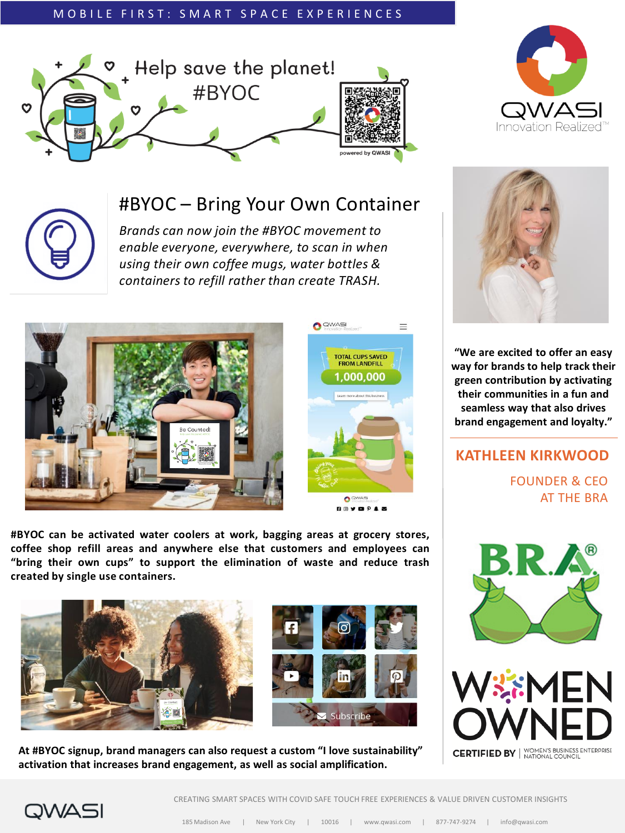### MOBILE FIRST: SMART SPACE EXPERIENCES







## #BYOC – Bring Your Own Container

*Brands can now join the #BYOC movement to enable everyone, everywhere, to scan in when using their own coffee mugs, water bottles & containers to refill rather than create TRASH.*





**#BYOC can be activated water coolers at work, bagging areas at grocery stores, coffee shop refill areas and anywhere else that customers and employees can "bring their own cups" to support the elimination of waste and reduce trash created by single use containers.**





**At #BYOC signup, brand managers can also request a custom "I love sustainability" activation that increases brand engagement, as well as social amplification.**



**"We are excited to offer an easy way for brands to help track their green contribution by activating their communities in a fun and seamless way that also drives brand engagement and loyalty."**

**KATHLEEN KIRKWOOD** FOUNDER & CEO AT THE BRA